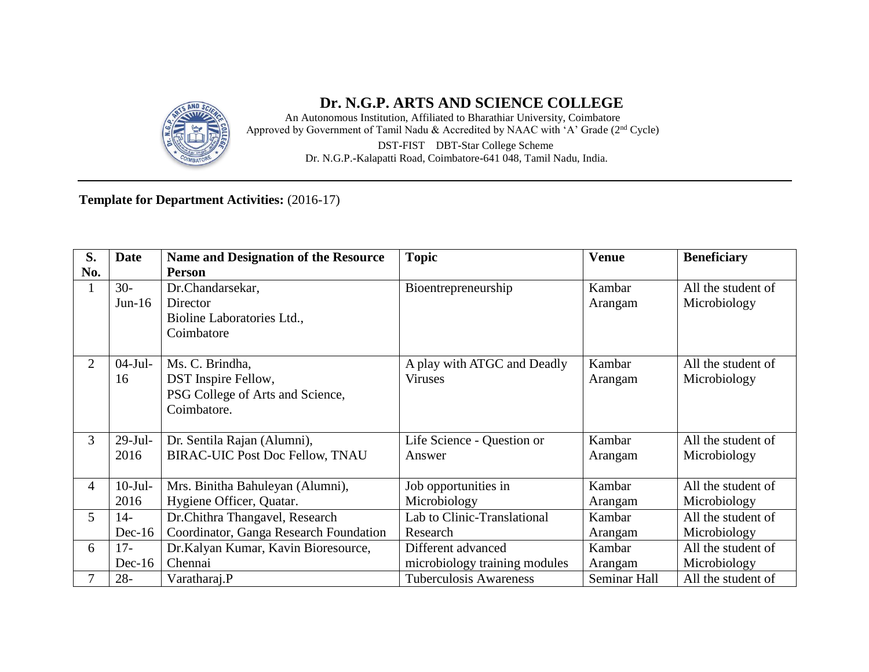

### **Dr. N.G.P. ARTS AND SCIENCE COLLEGE**

An Autonomous Institution, Affiliated to Bharathiar University, Coimbatore Approved by Government of Tamil Nadu & Accredited by NAAC with 'A' Grade (2nd Cycle) DST**-**FIST DBT**-**Star College Scheme Dr. N.G.P.**-**Kalapatti Road, Coimbatore**-**641 048, Tamil Nadu, India.

#### **Template for Department Activities:** (2016-17)

| S.             | <b>Date</b> | <b>Name and Designation of the Resource</b> | <b>Topic</b>                  | <b>Venue</b> | <b>Beneficiary</b> |
|----------------|-------------|---------------------------------------------|-------------------------------|--------------|--------------------|
| No.            |             | <b>Person</b>                               |                               |              |                    |
| $\mathbf{1}$   | $30-$       | Dr.Chandarsekar,                            | Bioentrepreneurship           | Kambar       | All the student of |
|                | $Jun-16$    | Director                                    |                               | Arangam      | Microbiology       |
|                |             | Bioline Laboratories Ltd.,                  |                               |              |                    |
|                |             | Coimbatore                                  |                               |              |                    |
|                |             |                                             |                               |              |                    |
| 2              | $04-Jul-$   | Ms. C. Brindha,                             | A play with ATGC and Deadly   | Kambar       | All the student of |
|                | 16          | <b>DST</b> Inspire Fellow,                  | <b>Viruses</b>                | Arangam      | Microbiology       |
|                |             | PSG College of Arts and Science,            |                               |              |                    |
|                |             | Coimbatore.                                 |                               |              |                    |
|                |             |                                             |                               |              |                    |
| 3              | $29$ -Jul-  | Dr. Sentila Rajan (Alumni),                 | Life Science - Question or    | Kambar       | All the student of |
|                | 2016        | <b>BIRAC-UIC Post Doc Fellow, TNAU</b>      | Answer                        | Arangam      | Microbiology       |
|                |             |                                             |                               |              |                    |
| $\overline{4}$ | $10-Jul-$   | Mrs. Binitha Bahuleyan (Alumni),            | Job opportunities in          | Kambar       | All the student of |
|                | 2016        | Hygiene Officer, Quatar.                    | Microbiology                  | Arangam      | Microbiology       |
| 5              | $14-$       | Dr. Chithra Thangavel, Research             | Lab to Clinic-Translational   | Kambar       | All the student of |
|                | $Dec-16$    | Coordinator, Ganga Research Foundation      | Research                      | Arangam      | Microbiology       |
| 6              | $17-$       | Dr.Kalyan Kumar, Kavin Bioresource,         | Different advanced            | Kambar       | All the student of |
|                | $Dec-16$    | Chennai                                     | microbiology training modules | Arangam      | Microbiology       |
| $\tau$         | $28 -$      | Varatharaj.P                                | <b>Tuberculosis Awareness</b> | Seminar Hall | All the student of |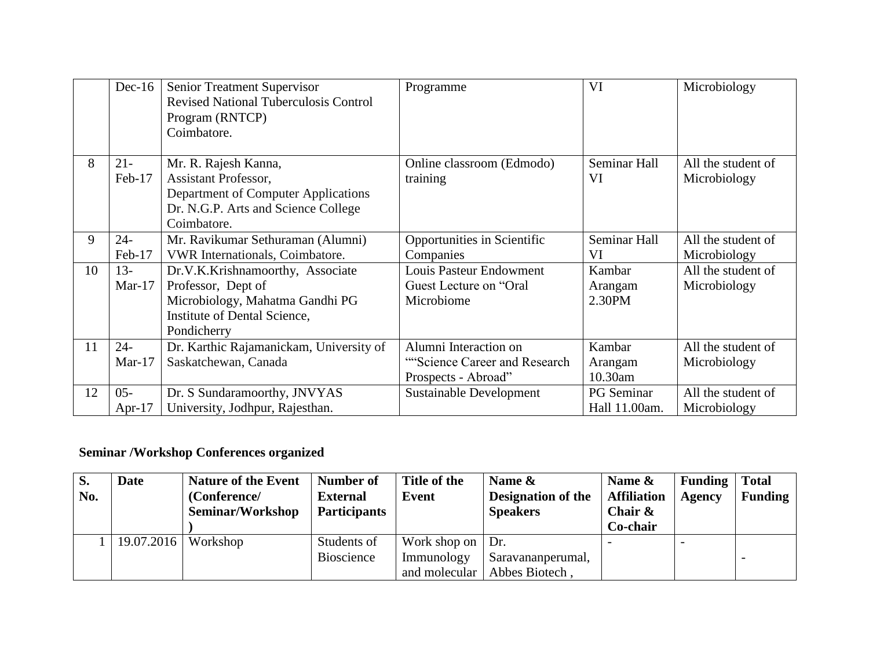|    | $Dec-16$            | Senior Treatment Supervisor<br><b>Revised National Tuberculosis Control</b><br>Program (RNTCP)<br>Coimbatore.                             | Programme                                                                     | VI                           | Microbiology                       |
|----|---------------------|-------------------------------------------------------------------------------------------------------------------------------------------|-------------------------------------------------------------------------------|------------------------------|------------------------------------|
| 8  | $21 -$<br>Feb-17    | Mr. R. Rajesh Kanna,<br>Assistant Professor,<br>Department of Computer Applications<br>Dr. N.G.P. Arts and Science College<br>Coimbatore. | Online classroom (Edmodo)<br>training                                         | Seminar Hall<br>VI           | All the student of<br>Microbiology |
| 9  | $24 -$<br>Feb-17    | Mr. Ravikumar Sethuraman (Alumni)<br>VWR Internationals, Coimbatore.                                                                      | Opportunities in Scientific<br>Companies                                      | Seminar Hall<br>VI           | All the student of<br>Microbiology |
| 10 | $13 -$<br>$Mar-17$  | Dr.V.K.Krishnamoorthy, Associate<br>Professor, Dept of<br>Microbiology, Mahatma Gandhi PG<br>Institute of Dental Science,<br>Pondicherry  | <b>Louis Pasteur Endowment</b><br>Guest Lecture on "Oral"<br>Microbiome       | Kambar<br>Arangam<br>2.30PM  | All the student of<br>Microbiology |
| 11 | $24 -$<br>$Mar-17$  | Dr. Karthic Rajamanickam, University of<br>Saskatchewan, Canada                                                                           | Alumni Interaction on<br>"Science Career and Research"<br>Prospects - Abroad" | Kambar<br>Arangam<br>10.30am | All the student of<br>Microbiology |
| 12 | $05 -$<br>Apr- $17$ | Dr. S Sundaramoorthy, JNVYAS<br>University, Jodhpur, Rajesthan.                                                                           | <b>Sustainable Development</b>                                                | PG Seminar<br>Hall 11.00am.  | All the student of<br>Microbiology |

# **Seminar /Workshop Conferences organized**

| $\mathbf{S}$ .<br>No. | <b>Date</b> | <b>Nature of the Event</b><br>(Conference/<br><b>Seminar/Workshop</b> | Number of<br><b>External</b><br><b>Participants</b> | Title of the<br>Event    | Name $\&$<br><b>Designation of the</b><br><b>Speakers</b> | Name $\&$<br><b>Affiliation</b><br>Chair $\&$ | <b>Funding</b><br><b>Agency</b> | <b>Total</b><br><b>Funding</b> |
|-----------------------|-------------|-----------------------------------------------------------------------|-----------------------------------------------------|--------------------------|-----------------------------------------------------------|-----------------------------------------------|---------------------------------|--------------------------------|
|                       |             |                                                                       |                                                     |                          |                                                           | Co-chair                                      |                                 |                                |
|                       | 19.07.2016  | Workshop                                                              | Students of                                         | Work shop on $\vert$ Dr. |                                                           |                                               |                                 |                                |
|                       |             |                                                                       | Bioscience                                          | Immunology               | Saravananperumal,                                         |                                               |                                 |                                |
|                       |             |                                                                       |                                                     | and molecular            | Abbes Biotech.                                            |                                               |                                 |                                |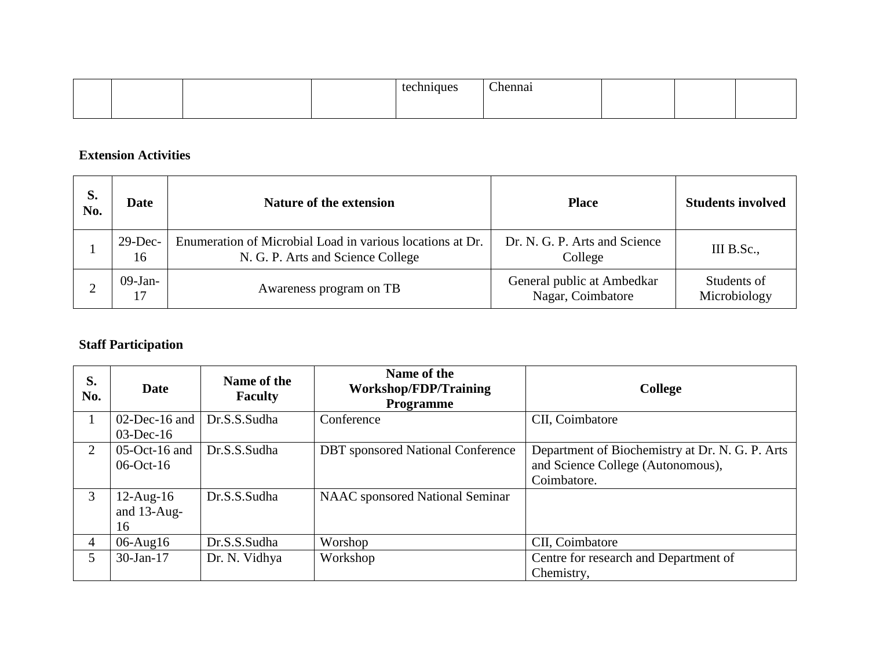|  |  | ~<br>'hon |  |  |
|--|--|-----------|--|--|
|  |  |           |  |  |

#### **Extension Activities**

| S.<br>No. | <b>Date</b>      | <b>Nature of the extension</b>                                                                 | <b>Place</b>                                    | <b>Students involved</b>    |
|-----------|------------------|------------------------------------------------------------------------------------------------|-------------------------------------------------|-----------------------------|
|           | $29$ -Dec-<br>16 | Enumeration of Microbial Load in various locations at Dr.<br>N. G. P. Arts and Science College | Dr. N. G. P. Arts and Science<br>College        | III B.Sc.,                  |
|           | $09-Jan-$        | Awareness program on TB                                                                        | General public at Ambedkar<br>Nagar, Coimbatore | Students of<br>Microbiology |

### **Staff Participation**

| S.<br>No.      | <b>Date</b>                          | Name of the<br><b>Faculty</b> | Name of the<br><b>Workshop/FDP/Training</b><br><b>Programme</b> | College                                                                                             |
|----------------|--------------------------------------|-------------------------------|-----------------------------------------------------------------|-----------------------------------------------------------------------------------------------------|
|                | $02$ -Dec-16 and<br>$03$ -Dec-16     | Dr.S.S.Sudha                  | Conference                                                      | CII, Coimbatore                                                                                     |
| $\overline{2}$ | $05$ -Oct-16 and<br>$06$ -Oct-16     | Dr.S.S.Sudha                  | <b>DBT</b> sponsored National Conference                        | Department of Biochemistry at Dr. N. G. P. Arts<br>and Science College (Autonomous),<br>Coimbatore. |
| $\mathfrak{Z}$ | $12$ -Aug- $16$<br>and 13-Aug-<br>16 | Dr.S.S.Sudha                  | <b>NAAC</b> sponsored National Seminar                          |                                                                                                     |
| 4              | $06$ -Aug $16$                       | Dr.S.S.Sudha                  | Worshop                                                         | CII, Coimbatore                                                                                     |
| $5^{\circ}$    | $30$ -Jan-17                         | Dr. N. Vidhya                 | Workshop                                                        | Centre for research and Department of<br>Chemistry,                                                 |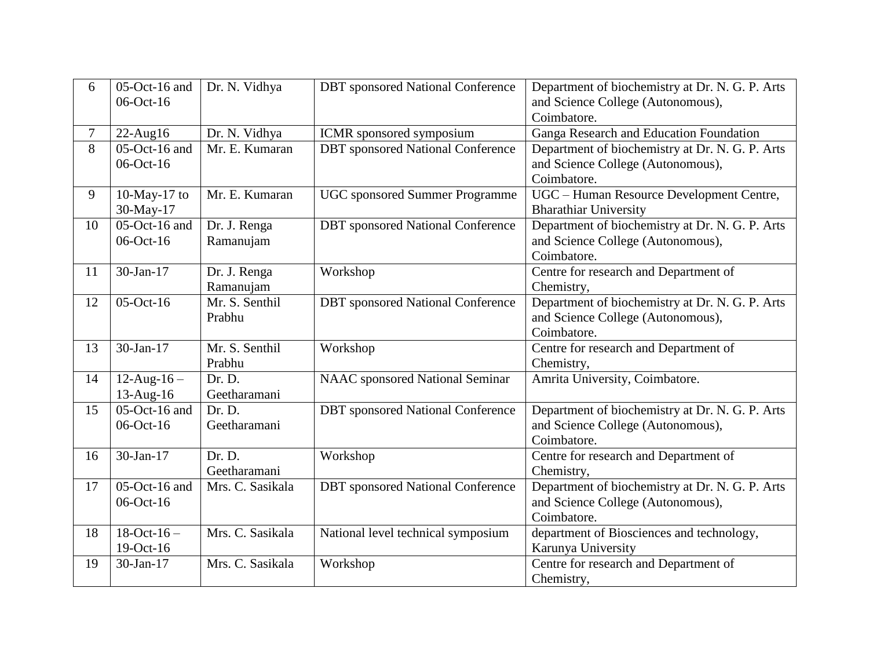| 6  | 05-Oct-16 and<br>06-Oct-16 | Dr. N. Vidhya    | <b>DBT</b> sponsored National Conference | Department of biochemistry at Dr. N. G. P. Arts<br>and Science College (Autonomous), |
|----|----------------------------|------------------|------------------------------------------|--------------------------------------------------------------------------------------|
| 7  | $22$ -Aug16                | Dr. N. Vidhya    | ICMR sponsored symposium                 | Coimbatore.<br>Ganga Research and Education Foundation                               |
| 8  | $05$ -Oct-16 and           | Mr. E. Kumaran   | <b>DBT</b> sponsored National Conference | Department of biochemistry at Dr. N. G. P. Arts                                      |
|    | 06-Oct-16                  |                  |                                          | and Science College (Autonomous),                                                    |
|    |                            |                  |                                          | Coimbatore.                                                                          |
| 9  | 10-May-17 to               | Mr. E. Kumaran   | <b>UGC</b> sponsored Summer Programme    | UGC - Human Resource Development Centre,                                             |
|    | 30-May-17                  |                  |                                          | <b>Bharathiar University</b>                                                         |
| 10 | $05$ -Oct-16 and           | Dr. J. Renga     | <b>DBT</b> sponsored National Conference | Department of biochemistry at Dr. N. G. P. Arts                                      |
|    | 06-Oct-16                  | Ramanujam        |                                          | and Science College (Autonomous),                                                    |
|    |                            |                  |                                          | Coimbatore.                                                                          |
| 11 | 30-Jan-17                  | Dr. J. Renga     | Workshop                                 | Centre for research and Department of                                                |
|    |                            | Ramanujam        |                                          | Chemistry,                                                                           |
| 12 | 05-Oct-16                  | Mr. S. Senthil   | <b>DBT</b> sponsored National Conference | Department of biochemistry at Dr. N. G. P. Arts                                      |
|    |                            | Prabhu           |                                          | and Science College (Autonomous),                                                    |
|    |                            |                  |                                          | Coimbatore.                                                                          |
| 13 | 30-Jan-17                  | Mr. S. Senthil   | Workshop                                 | Centre for research and Department of                                                |
|    |                            | Prabhu           |                                          | Chemistry,                                                                           |
| 14 | $12$ -Aug-16 –             | Dr. D.           | <b>NAAC</b> sponsored National Seminar   | Amrita University, Coimbatore.                                                       |
|    | 13-Aug-16                  | Geetharamani     |                                          |                                                                                      |
| 15 | $05$ -Oct-16 and           | Dr. D.           | <b>DBT</b> sponsored National Conference | Department of biochemistry at Dr. N. G. P. Arts                                      |
|    | 06-Oct-16                  | Geetharamani     |                                          | and Science College (Autonomous),                                                    |
|    | 30-Jan-17                  | Dr. D.           |                                          | Coimbatore.                                                                          |
| 16 |                            | Geetharamani     | Workshop                                 | Centre for research and Department of<br>Chemistry,                                  |
| 17 | $05$ -Oct-16 and           | Mrs. C. Sasikala | <b>DBT</b> sponsored National Conference | Department of biochemistry at Dr. N. G. P. Arts                                      |
|    | 06-Oct-16                  |                  |                                          | and Science College (Autonomous),                                                    |
|    |                            |                  |                                          | Coimbatore.                                                                          |
| 18 | $18-Oct-16-$               | Mrs. C. Sasikala | National level technical symposium       | department of Biosciences and technology,                                            |
|    | 19-Oct-16                  |                  |                                          | Karunya University                                                                   |
| 19 | 30-Jan-17                  | Mrs. C. Sasikala | Workshop                                 | Centre for research and Department of                                                |
|    |                            |                  |                                          | Chemistry,                                                                           |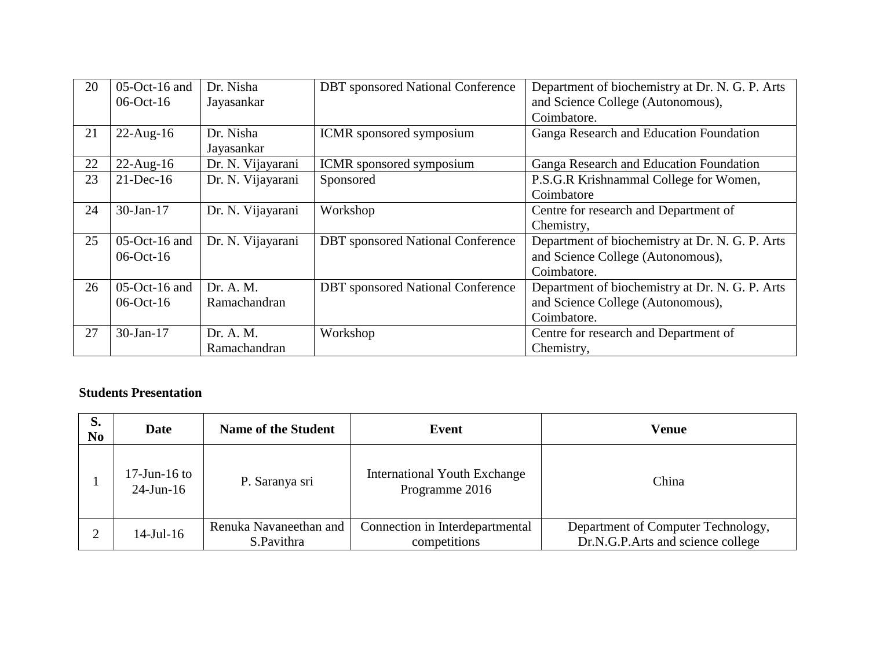| 20 | $05$ -Oct-16 and | Dr. Nisha         | <b>DBT</b> sponsored National Conference | Department of biochemistry at Dr. N. G. P. Arts |
|----|------------------|-------------------|------------------------------------------|-------------------------------------------------|
|    | $06$ -Oct-16     | Jayasankar        |                                          | and Science College (Autonomous),               |
|    |                  |                   |                                          | Coimbatore.                                     |
| 21 | $22$ -Aug-16     | Dr. Nisha         | ICMR sponsored symposium                 | Ganga Research and Education Foundation         |
|    |                  | Jayasankar        |                                          |                                                 |
| 22 | $22$ -Aug-16     | Dr. N. Vijayarani | <b>ICMR</b> sponsored symposium          | Ganga Research and Education Foundation         |
| 23 | $21$ -Dec-16     | Dr. N. Vijayarani | Sponsored                                | P.S.G.R Krishnammal College for Women,          |
|    |                  |                   |                                          | Coimbatore                                      |
| 24 | $30$ -Jan-17     | Dr. N. Vijayarani | Workshop                                 | Centre for research and Department of           |
|    |                  |                   |                                          | Chemistry,                                      |
| 25 | $05$ -Oct-16 and | Dr. N. Vijayarani | <b>DBT</b> sponsored National Conference | Department of biochemistry at Dr. N. G. P. Arts |
|    | $06$ -Oct-16     |                   |                                          | and Science College (Autonomous),               |
|    |                  |                   |                                          | Coimbatore.                                     |
| 26 | $05$ -Oct-16 and | Dr. A. M.         | <b>DBT</b> sponsored National Conference | Department of biochemistry at Dr. N. G. P. Arts |
|    | $06$ -Oct-16     | Ramachandran      |                                          | and Science College (Autonomous),               |
|    |                  |                   |                                          | Coimbatore.                                     |
| 27 | 30-Jan-17        | Dr. A. M.         | Workshop                                 | Centre for research and Department of           |
|    |                  | Ramachandran      |                                          | Chemistry,                                      |

#### **Students Presentation**

| S.<br>N <sub>0</sub> | Date                            | <b>Name of the Student</b> | Event                                                 | Venue                              |
|----------------------|---------------------------------|----------------------------|-------------------------------------------------------|------------------------------------|
|                      | $17$ -Jun-16 to<br>$24$ -Jun-16 | P. Saranya sri             | <b>International Youth Exchange</b><br>Programme 2016 | China                              |
|                      | $14$ -Jul- $16$                 | Renuka Navaneethan and     | Connection in Interdepartmental                       | Department of Computer Technology, |
|                      |                                 | S.Pavithra                 | competitions                                          | Dr.N.G.P.Arts and science college  |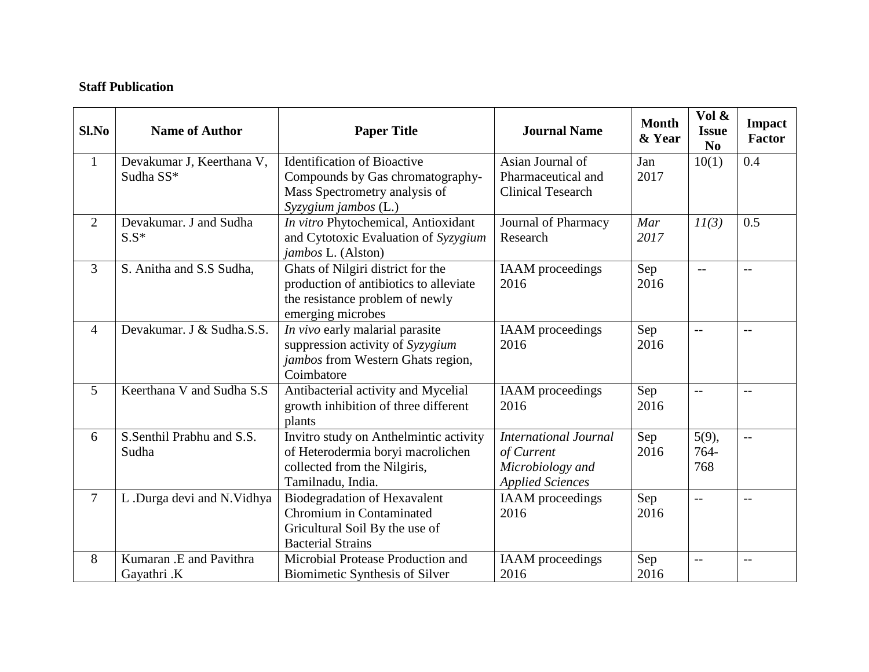### **Staff Publication**

| S1.No          | <b>Name of Author</b>                  | <b>Paper Title</b>                                                                                                                  | <b>Journal Name</b>                                                                       | <b>Month</b><br>& Year | Vol &<br><b>Issue</b><br>N <sub>0</sub> | <b>Impact</b><br><b>Factor</b> |
|----------------|----------------------------------------|-------------------------------------------------------------------------------------------------------------------------------------|-------------------------------------------------------------------------------------------|------------------------|-----------------------------------------|--------------------------------|
| $\mathbf{1}$   | Devakumar J, Keerthana V,<br>Sudha SS* | <b>Identification of Bioactive</b><br>Compounds by Gas chromatography-<br>Mass Spectrometry analysis of<br>Syzygium jambos (L.)     | Asian Journal of<br>Pharmaceutical and<br><b>Clinical Tesearch</b>                        | Jan<br>2017            | 10(1)                                   | 0.4                            |
| $\overline{2}$ | Devakumar. J and Sudha<br>$S.S*$       | In vitro Phytochemical, Antioxidant<br>and Cytotoxic Evaluation of Syzygium<br>jambos L. (Alston)                                   | Journal of Pharmacy<br>Research                                                           | Mar<br>2017            | 11(3)                                   | 0.5                            |
| $\overline{3}$ | S. Anitha and S.S Sudha,               | Ghats of Nilgiri district for the<br>production of antibiotics to alleviate<br>the resistance problem of newly<br>emerging microbes | <b>IAAM</b> proceedings<br>2016                                                           | Sep<br>2016            | $\overline{a}$                          | $-$                            |
| $\overline{4}$ | Devakumar. J & Sudha.S.S.              | In vivo early malarial parasite<br>suppression activity of Syzygium<br>jambos from Western Ghats region,<br>Coimbatore              | <b>IAAM</b> proceedings<br>2016                                                           | Sep<br>2016            | $-$                                     | $- -$                          |
| $\overline{5}$ | Keerthana V and Sudha S.S              | Antibacterial activity and Mycelial<br>growth inhibition of three different<br>plants                                               | <b>IAAM</b> proceedings<br>2016                                                           | Sep<br>2016            | $\mathbf{L}$                            | $-$                            |
| 6              | S.Senthil Prabhu and S.S.<br>Sudha     | Invitro study on Anthelmintic activity<br>of Heterodermia boryi macrolichen<br>collected from the Nilgiris,<br>Tamilnadu, India.    | <b>International Journal</b><br>of Current<br>Microbiology and<br><b>Applied Sciences</b> | Sep<br>2016            | 5(9),<br>764-<br>768                    | $- -$                          |
| $\overline{7}$ | L.Durga devi and N.Vidhya              | <b>Biodegradation of Hexavalent</b><br>Chromium in Contaminated<br>Gricultural Soil By the use of<br><b>Bacterial Strains</b>       | <b>IAAM</b> proceedings<br>2016                                                           | Sep<br>2016            | $\mathbf{L}$                            | $- -$                          |
| 8              | Kumaran .E and Pavithra<br>Gayathri .K | Microbial Protease Production and<br>Biomimetic Synthesis of Silver                                                                 | <b>IAAM</b> proceedings<br>2016                                                           | Sep<br>2016            | $-$                                     | $-$                            |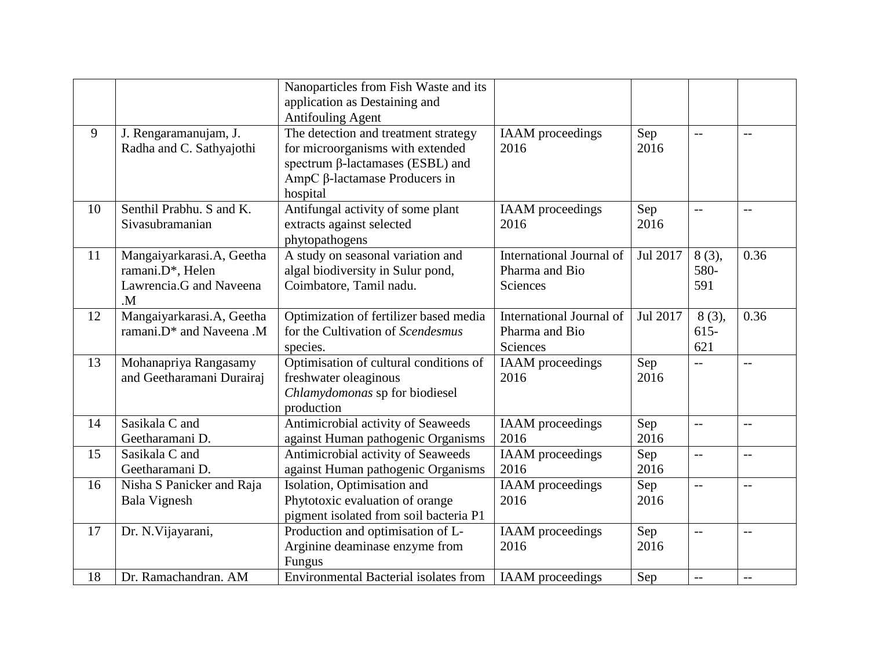|    |                                                                                         | Nanoparticles from Fish Waste and its<br>application as Destaining and<br><b>Antifouling Agent</b>                                                                      |                                                               |             |                         |      |
|----|-----------------------------------------------------------------------------------------|-------------------------------------------------------------------------------------------------------------------------------------------------------------------------|---------------------------------------------------------------|-------------|-------------------------|------|
| 9  | J. Rengaramanujam, J.<br>Radha and C. Sathyajothi                                       | The detection and treatment strategy<br>for microorganisms with extended<br>spectrum $\beta$ -lactamases (ESBL) and<br>AmpC $\beta$ -lactamase Producers in<br>hospital | <b>IAAM</b> proceedings<br>2016                               | Sep<br>2016 | $\overline{a}$          | $-$  |
| 10 | Senthil Prabhu. S and K.<br>Sivasubramanian                                             | Antifungal activity of some plant<br>extracts against selected<br>phytopathogens                                                                                        | <b>IAAM</b> proceedings<br>2016                               | Sep<br>2016 | $-$                     | $-$  |
| 11 | Mangaiyarkarasi.A, Geetha<br>ramani.D*, Helen<br>Lawrencia.G and Naveena<br>$M_{\odot}$ | A study on seasonal variation and<br>algal biodiversity in Sulur pond,<br>Coimbatore, Tamil nadu.                                                                       | International Journal of<br>Pharma and Bio<br><b>Sciences</b> | Jul 2017    | 8(3),<br>580-<br>591    | 0.36 |
| 12 | Mangaiyarkarasi.A, Geetha<br>ramani.D* and Naveena .M                                   | Optimization of fertilizer based media<br>for the Cultivation of Scendesmus<br>species.                                                                                 | International Journal of<br>Pharma and Bio<br>Sciences        | Jul 2017    | 8(3),<br>$615 -$<br>621 | 0.36 |
| 13 | Mohanapriya Rangasamy<br>and Geetharamani Durairaj                                      | Optimisation of cultural conditions of<br>freshwater oleaginous<br>Chlamydomonas sp for biodiesel<br>production                                                         | <b>IAAM</b> proceedings<br>2016                               | Sep<br>2016 | $-$                     | $-$  |
| 14 | Sasikala C and<br>Geetharamani D.                                                       | Antimicrobial activity of Seaweeds<br>against Human pathogenic Organisms                                                                                                | <b>IAAM</b> proceedings<br>2016                               | Sep<br>2016 | $-$                     | $-$  |
| 15 | Sasikala C and<br>Geetharamani D.                                                       | Antimicrobial activity of Seaweeds<br>against Human pathogenic Organisms                                                                                                | <b>IAAM</b> proceedings<br>2016                               | Sep<br>2016 | $-$                     | $-$  |
| 16 | Nisha S Panicker and Raja<br><b>Bala Vignesh</b>                                        | Isolation, Optimisation and<br>Phytotoxic evaluation of orange<br>pigment isolated from soil bacteria P1                                                                | <b>IAAM</b> proceedings<br>2016                               | Sep<br>2016 | $-$                     | $-$  |
| 17 | Dr. N. Vijayarani,                                                                      | Production and optimisation of L-<br>Arginine deaminase enzyme from<br>Fungus                                                                                           | <b>IAAM</b> proceedings<br>2016                               | Sep<br>2016 | $-$                     | $-$  |
| 18 | Dr. Ramachandran. AM                                                                    | <b>Environmental Bacterial isolates from</b>                                                                                                                            | <b>IAAM</b> proceedings                                       | Sep         | $-$                     | $-$  |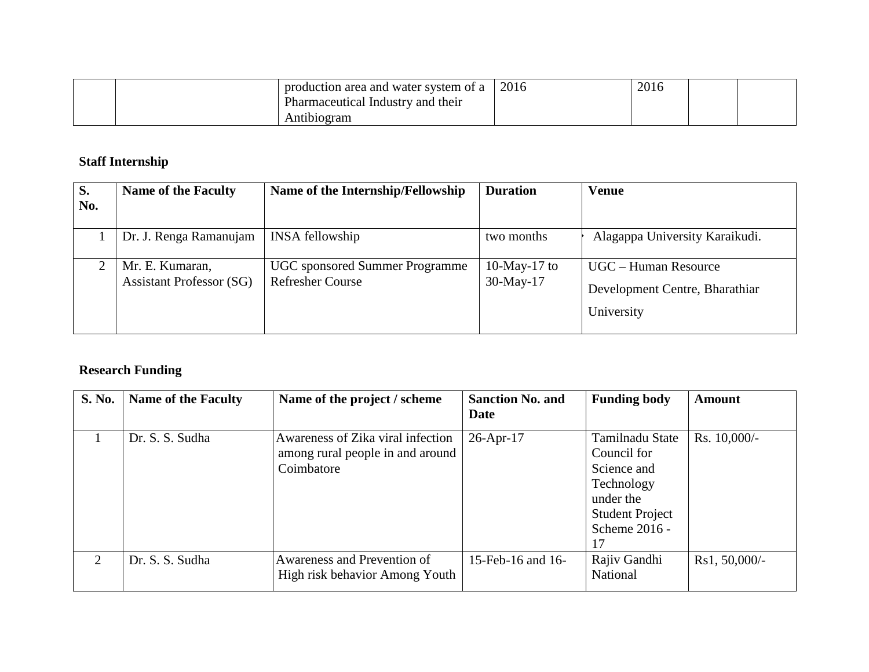|  | production area and water system of a    | 2016 | 2016 |  |
|--|------------------------------------------|------|------|--|
|  | <b>Pharmaceutical Industry and their</b> |      |      |  |
|  | Antibiogram                              |      |      |  |

# **Staff Internship**

| S.  | <b>Name of the Faculty</b>                         | Name of the Internship/Fellowship                                | <b>Duration</b>              | <b>Venue</b>                   |
|-----|----------------------------------------------------|------------------------------------------------------------------|------------------------------|--------------------------------|
| No. |                                                    |                                                                  |                              |                                |
|     | Dr. J. Renga Ramanujam                             | <b>INSA</b> fellowship                                           | two months                   | Alagappa University Karaikudi. |
|     | Mr. E. Kumaran,<br><b>Assistant Professor (SG)</b> | <b>UGC</b> sponsored Summer Programme<br><b>Refresher Course</b> | 10-May-17 to<br>$30$ -May-17 | UGC – Human Resource           |
|     |                                                    |                                                                  |                              | Development Centre, Bharathiar |
|     |                                                    |                                                                  |                              | University                     |

# **Research Funding**

| <b>S. No.</b> | <b>Name of the Faculty</b> | Name of the project / scheme                                                        | <b>Sanction No. and</b><br>Date | <b>Funding body</b>                                                                                                       | Amount         |
|---------------|----------------------------|-------------------------------------------------------------------------------------|---------------------------------|---------------------------------------------------------------------------------------------------------------------------|----------------|
|               | Dr. S. S. Sudha            | Awareness of Zika viral infection<br>among rural people in and around<br>Coimbatore | $26$ -Apr-17                    | Tamilnadu State<br>Council for<br>Science and<br>Technology<br>under the<br><b>Student Project</b><br>Scheme 2016 -<br>17 | $Rs. 10,000/-$ |
| 2             | Dr. S. S. Sudha            | Awareness and Prevention of<br>High risk behavior Among Youth                       | 15-Feb-16 and 16-               | Rajiv Gandhi<br>National                                                                                                  | Rs1, 50,000/-  |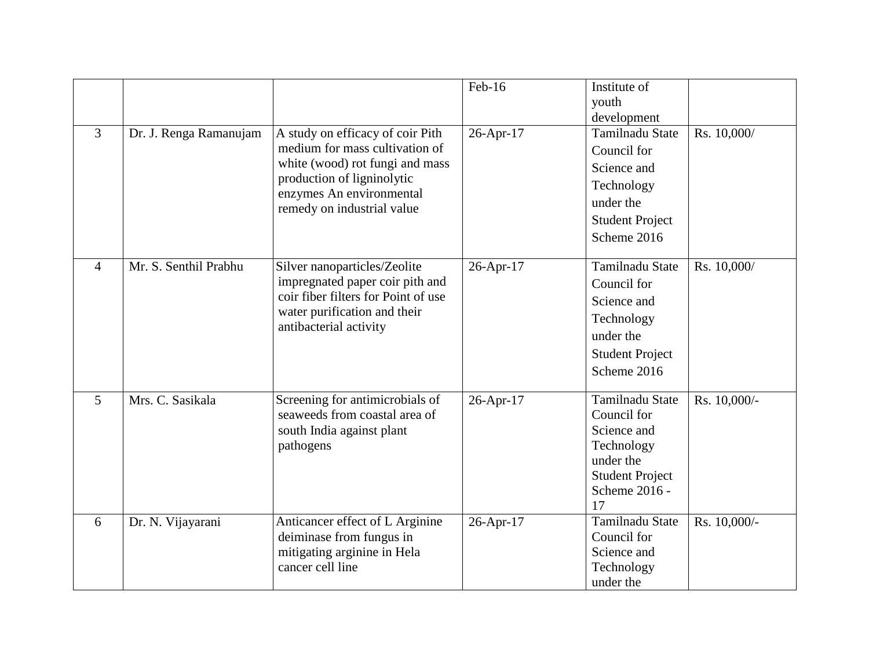| 3              | Dr. J. Renga Ramanujam | A study on efficacy of coir Pith<br>medium for mass cultivation of<br>white (wood) rot fungi and mass<br>production of ligninolytic<br>enzymes An environmental<br>remedy on industrial value | Feb-16<br>26-Apr-17 | Institute of<br>youth<br>development<br><b>Tamilnadu State</b><br>Council for<br>Science and<br>Technology<br>under the<br><b>Student Project</b><br>Scheme 2016 | Rs. 10,000/  |
|----------------|------------------------|-----------------------------------------------------------------------------------------------------------------------------------------------------------------------------------------------|---------------------|------------------------------------------------------------------------------------------------------------------------------------------------------------------|--------------|
| 4              | Mr. S. Senthil Prabhu  | Silver nanoparticles/Zeolite<br>impregnated paper coir pith and<br>coir fiber filters for Point of use<br>water purification and their<br>antibacterial activity                              | 26-Apr-17           | Tamilnadu State<br>Council for<br>Science and<br>Technology<br>under the<br><b>Student Project</b><br>Scheme 2016                                                | Rs. 10,000/  |
| $\overline{5}$ | Mrs. C. Sasikala       | Screening for antimicrobials of<br>seaweeds from coastal area of<br>south India against plant<br>pathogens                                                                                    | 26-Apr-17           | Tamilnadu State<br>Council for<br>Science and<br>Technology<br>under the<br><b>Student Project</b><br>Scheme 2016 -<br>17                                        | Rs. 10,000/- |
| 6              | Dr. N. Vijayarani      | Anticancer effect of L Arginine<br>deiminase from fungus in<br>mitigating arginine in Hela<br>cancer cell line                                                                                | 26-Apr-17           | Tamilnadu State<br>Council for<br>Science and<br>Technology<br>under the                                                                                         | Rs. 10,000/- |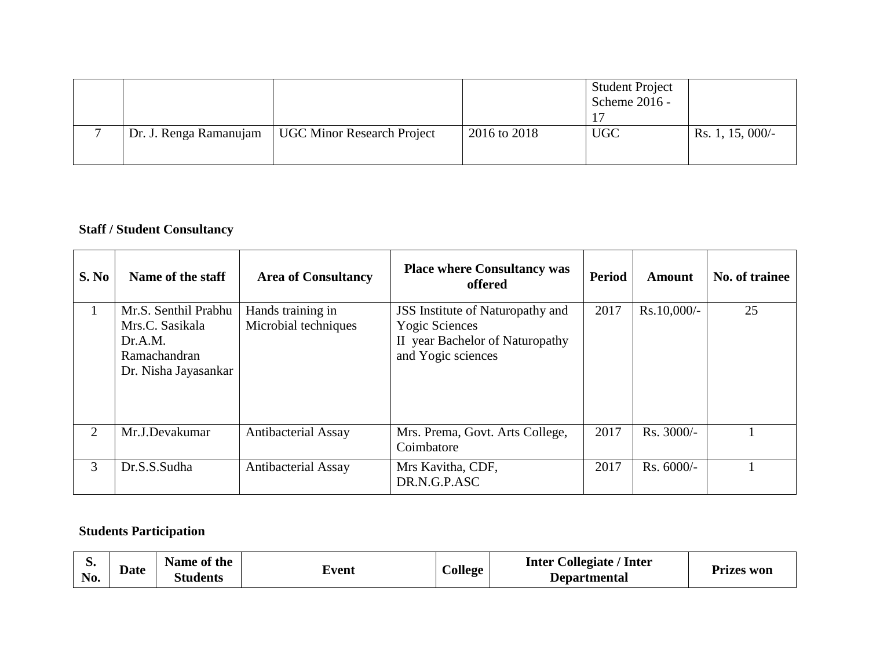|                        |                                   |              | <b>Student Project</b><br>Scheme 2016 - |                  |
|------------------------|-----------------------------------|--------------|-----------------------------------------|------------------|
| Dr. J. Renga Ramanujam | <b>UGC Minor Research Project</b> | 2016 to 2018 | <b>UGC</b>                              | Rs. 1, 15, 000/- |

# **Staff / Student Consultancy**

| S. No | Name of the staff                                                                          | <b>Area of Consultancy</b>                | <b>Place where Consultancy was</b><br>offered                                                                             | <b>Period</b> | Amount       | No. of trainee |
|-------|--------------------------------------------------------------------------------------------|-------------------------------------------|---------------------------------------------------------------------------------------------------------------------------|---------------|--------------|----------------|
|       | Mr.S. Senthil Prabhu<br>Mrs.C. Sasikala<br>Dr.A.M.<br>Ramachandran<br>Dr. Nisha Jayasankar | Hands training in<br>Microbial techniques | <b>JSS</b> Institute of Naturopathy and<br><b>Yogic Sciences</b><br>II year Bachelor of Naturopathy<br>and Yogic sciences | 2017          | Rs.10,000/-  | 25             |
| 2     | Mr.J.Devakumar                                                                             | <b>Antibacterial Assay</b>                | Mrs. Prema, Govt. Arts College,<br>Coimbatore                                                                             | 2017          | $Rs. 3000/-$ |                |
| 3     | Dr.S.S.Sudha                                                                               | <b>Antibacterial Assay</b>                | Mrs Kavitha, CDF,<br>DR.N.G.P.ASC                                                                                         | 2017          | $Rs. 6000/-$ |                |

# **Students Participation**

| p.<br>Date<br>No. | Name of the<br>$\sim$<br>Students | $\overline{\phantom{a}}$<br>∠vent | <b>College</b> | Collegiate / Inter<br>Inter<br><b>Departmental</b> | Prizes won |
|-------------------|-----------------------------------|-----------------------------------|----------------|----------------------------------------------------|------------|
|-------------------|-----------------------------------|-----------------------------------|----------------|----------------------------------------------------|------------|